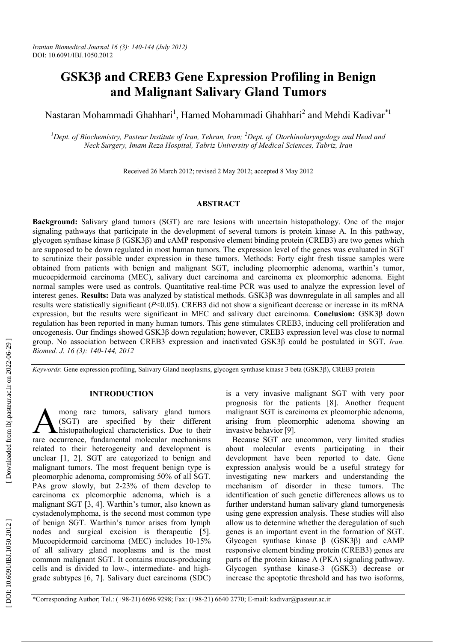# **GSK3 β and CREB3 Gene Expression Profiling in Benign and Malignant Salivary Gland Tumors**

Nastaran Mohammadi Ghahhari<sup>1</sup>, Hamed Mohammadi Ghahhari<sup>2</sup> and Mehdi Kadivar<sup>\*1</sup>

<sup>1</sup>Dept. of Biochemistry, Pasteur Institute of Iran, Tehran, Iran; <sup>2</sup>Dept. of Otorhinolaryngology and Head and *Neck Surgery, Imam Reza Hospital, Tabriz University of Medical Sciences, Tabriz, Iran*

Received 26 March 2012; revised 2 May 2012; accepted 8 May 2012

## **ABSTRACT**

**Background:** Salivary gland tumors (SGT) are rare lesions with uncertain histopathology. One of the major signaling pathways that participate in the development of several tumors is protein kinase A. In this pathway, glycogen synthase kinase β (GSK3 β) and cAMP responsive element binding protein (CREB3) are two genes which are supposed to be down regulated in most human tumors. The expression level of the genes was evaluated in SGT to scrutinize their possible under expression in these tumors. Methods: Forty eight fresh tissue samples were obtained from patients with benign and malignant SGT, including pleomorphic adenoma, warthin's tumor, mucoepidermoid carcinoma (MEC), salivary duct carcinoma and carcinoma ex pleomorphic adenoma. Eight normal samples were used as controls. Quantitative real-time PCR was used to analyze the expression level of interest genes. **Results:** Data was analyzed by statistical methods. GSK3β was downregulate in all samples and all results were statistically significant (*P*<0.05). CREB3 did not show a significant decrease or increase in its mRNA expression, but the results were significant in MEC and salivary duct carcinoma. **Conclusion:** GSK3β down regulation has been reported in many human tumors. This gene stimulates CREB3, inducing cell proliferation and oncogenesis. Our findings showed GSK3β down regulation; however, CREB3 expression level was close to normal group. No association between CREB3 expression and inactivated GSK3 β could be postulated in SGT. *Iran. Biomed. J. 16 (3): 140-144, 2012*

*Keywords*: Gene expression profiling, Salivary Gland neoplasms, glycogen synthase kinase 3 beta (GSK3 β), CREB3 protein

### **INTRODUCTION**

mong rare tumors, salivary gland tumors (SGT) are specified by their different histopathological characteristics. Due to their **A** mong rare tumors, salivary gland tumors (SGT) are specified by their different histopathological characteristics. Due to their rare occurrence, fundamental molecular mechanisms related to their heterogeneity and development is unclear [1, 2]. SGT are categorized to benign and malignant tumors. The most frequent benign type is pleomorphic adenoma, compromising 50% of all SGT. PAs grow slowly, but 2-23% of them develop to carcinoma ex pleomorphic adenoma, which is a malignant SGT [3, 4]. Warthin's tumor, also known as cystadenolymphoma, is the second most common type of benign SGT. Warthin's tumor arises from lymph nodes and surgical excision is therapeutic [5]. Mucoepidermoid carcinoma (MEC) includes 10-15% of all salivary gland neoplasms and is the most common malignant SGT. It contains mucus-producing cells and is divided to low-, intermediate- and highgrade subtypes [6, 7]. Salivary duct carcinoma (SDC)

is a very invasive malignant SGT with very poor prognosis for the patients [8]. Another frequent malignant SGT is carcinoma ex pleomorphic adenoma, arising from pleomorphic adenoma showing an invasive behavior [9].

Because SGT are uncommon, very limited studies about molecular events participating in their development have been reported to date. Gene expression analysis would be a useful strategy for investigating new markers and understanding the mechanism of disorder in these tumors. The identification of such genetic differences allows us to further understand human salivary gland tumorgenesis using gene expression analysis. These studies will also allow us to determine whether the deregulation of such genes is an important event in the formation of SGT. Glycogen synthase kinase β (GSK3 β) and cAMP responsive element binding protein (CREB3) genes are parts of the protein kinase A (PKA) signaling pathway. Glycogen synthase kinase-3 (GSK3) decrease or increase the apoptotic threshold and has two isoforms,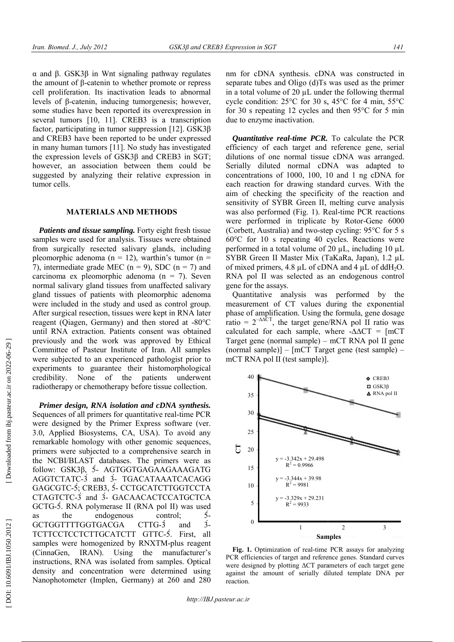α and β. GSK 3β in Wnt signaling pathway regulates the amount of β -catenin to whether promote or repress cell proliferation. Its inactivation leads to abnormal levels of β -catenin, inducing tumorgenesis; however, some studies have been reported its overexpression in several tumors [10, 11 ]. CREB 3 is a transcription the amount of  $\beta$ -catenin to whether promote or repress<br>cell proliferation. Its inactivation leads to abnormal<br>levels of  $\beta$ -catenin, inducing tumorgenesis; however,<br>some studies have been reported its overexpression in and CREB 3 have been reported to be under expressed in many human tumors [11 ]. No study has investigated in many human tumors [11]. No study has investigated the expression levels of  $GSK3\beta$  and CREB3 in SGT; however, an association between them could be suggested by analyzing their relative expression in tumor cells.

## **MATERIALS AND METHODS**

Patients and tissue sampling. Forty eight fresh tissue samples were used for analysis. Tissues were obtained from surgically resected salivary glands, including pleomorphic adenoma ( $n = 12$ ), warthin's tumor ( $n =$ 7), intermediate grade MEC ( $n = 9$ ), SDC ( $n = 7$ ) and carcinoma ex pleomorphic adenoma  $(n = 7)$ . Seven normal salivary gland tissues from unaffected salivary gland tissues of patients with pleomorphic adenoma were included in the study and used as control group. After surgical resection, tissues were kept in RNA later reagent (Qiagen, Germany) and then stored at -80°C until RNA extraction. Patients consent was obtained previously and the work was approved by Ethical Committee of Pasteur Institute of Iran. All samples were subjected to an experienced pathologist prior to experiments to guarantee their histomorphological credibility. None of the patients underwent radiotherapy or chemotherapy before tissue collection.

**Primer design, RNA isolation and cDNA synthesis.** Sequences of all primers for quantitative real-time PCR were designed by the Primer Express software (ver. 3.0, Applied Biosystems, CA, USA). To avoid any remarkable homology with other genomic sequences, primers were subjected to a comprehensive search in the NCBI/BLAST databases. The primers were as follow: GSK 3 β, 5́ - AGTGGTGAGAAGAAAGATG AGGTCTATC -3́ and 3́ - TGACATAAATCACAGG GAGCGTC -5́; CREB 3, 5́ - CCTGCATCTTGGTCCTA CTAGTCTC -3́ and 3́ - GACAACACTCCATGCTCA GCTG -5́. RNA polymerase II (RNA pol II) was used as the endogenous control; GCTGGTTTTGGTGACGA  $CTTG-3$ TCTTCCTCCTCTTGCATCTT GTTC - 5́. First, all samples were homogenized by RNXTM-plus reagent (CinnaGen, IRAN). Using the manufacturer's instructions, RNA was isolated from samples. Optical density and concentration were determined using Nanophotometer (Implen, Germany) at 260 and 280 , CA, USA). To avoid any<br>th other genomic sequences,<br>o a comprehensive search in<br>aases. The primers were as 5́ and  $\mathbf{3}$ 

nm for cDNA synthesis. cDNA was constructed in separate tubes and Oligo (d)Ts was used as the primer in a total volume of 20 µL under the following thermal cycle condition:  $25^{\circ}$ C for 30 s,  $45^{\circ}$ C for 4 min,  $55^{\circ}$ C for 30 s repeating 12 cycles and then  $95^{\circ}$ C for 5 min due to enzyme inactivation. nm for cDNA synthesis. cDNA was construse<br>parate tubes and Oligo (d)Ts was used as the<br>in a total volume of 20  $\mu$ L under the following<br>cycle condition: 25°C for 30 s, 45°C for 4 mi

*Quantitative real-time PCR. .* To calculate the PCR efficiency of each target and reference gene, serial dilutions of one normal tissue cDNA was arranged. Serially diluted normal cDNA was adapted to concentrations of 1000, 100, 10 1 ng cDNA for each reaction for drawing standard curves. With the aim of checking the specificity of the reaction and sensitivity of SYBR Green II, melting curve analysis each reaction for drawing standard curves. With the aim of checking the specificity of the reaction and sensitivity of SYBR Green II, melting curve analysis was also performed (Fig. 1). Real-time PCR reactions were performed in triplicate by Rotor -Gene 6000 (Corbett, Australia) and two-step cycling:  $95^{\circ}$ C for 5 s  $60^{\circ}$ C for 10 s repeating 40 cycles. Reactions were performed in a total volume of 20  $\mu$ L, including 10  $\mu$ L SYBR Green II Master Mix (TaKaRa, Japan), 1.2 µL of mixed primers, 4.8  $\mu$ L of cDNA and 4  $\mu$ L of ddH<sub>2</sub>O. RNA pol II was selected as an endogenous control gene for the assays. expections of each target and reference gene, serial tions of one normal tissue cDNA was arranged.<br>ally diluted normal cDNA was adapted to centrations of 1000, 100, 10 and 1 ng cDNA for

Quantitative analysis was performed by the Quantitative measurement of CT values during the exponential phase of amplification. Using the formula, gene dosage ratio =  $2^{-\Delta\Delta CT}$ , the target gene/RNA pol II ratio was calculated for each sample, where  $-\Delta \Delta CT = [mCT]$ Target gene (normal sample) – mCT RNA pol II gene (normal sample)] – [mCT Target gene (test sample) – mCT RNA pol II (test sample)].



**Fig. 1.** Optimization of real -time PCR assays for analyzing PCR efficiencies of target and reference genes. Standard curves were designed by plotting ΔCT parameters of each target gene against the amount of serially diluted template DNA per reaction. <sup>2</sup><sup>3</sup><br> **Samples**<br>
real-time PCR assays for analyzing<br>
and reference genes. Standard curves<br>  $\triangle$ CT parameters of each target gene<br>
erially diluted template DNA per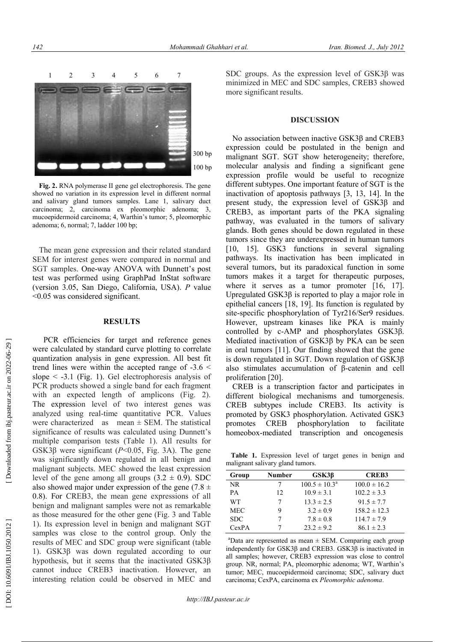

**Fig. 2.** RNA polymerase II gene gel electrophoresis. The gene showed no variation in its expression level in different normal and salivary gland tumors samples. Lane 1, salivary duct carcinoma; 2, carcinoma ex pleomorphic adenoma; 3, mucoepidermoid carcinoma; 4, Warthin's tumor; 5, pleomorphic adenoma; 6, normal; 7, ladder 100 bp;

The mean gene expression and their related standard SEM for interest genes were compared in normal and SGT samples. One-way ANOVA with Dunnett's post test was performed using GraphPad InStat software (version 3.05, San Diego, California, USA). *P* value <0.05 was considered significant.

# **RESULTS**

PCR efficiencies for target and reference genes were calculated by standard curve plotting to correlate quantization analysis in gene expression. All best fit trend lines were within the accepted range of -3.6 < slope  $\leq$  -3.1 (Fig. 1). Gel electrophoresis analysis of PCR products showed a single band for each fragment with an expected length of amplicons (Fig. 2). The expression level of two interest genes was analyzed using real-time quantitative PCR. Values were characterized as mean  $\pm$  SEM. The statistical significance of results was calculated using Dunnett's multiple comparison tests (Table 1). All results for GSK3 $\beta$  were significant ( $P < 0.05$ , Fig. 3A). The gene was significantly down regulated in all benign and malignant subjects. MEC showed the least expression level of the gene among all groups  $(3.2 \pm 0.9)$ . SDC also showed major under expression of the gene (7.8  $\pm$ 0.8). For CREB3, the mean gene expressions of all benign and malignant samples were not as remarkable as those measured for the other gene (Fig. 3 and Table 1). Its expression level in benign and malignant SGT samples was close to the control group. Only the results of MEC and SDC group were significant (table 1). GSK3β was down regulated according to our hypothesis, but it seems that the inactivated GSK3β cannot induce CREB3 inactivation. However, an interesting relation could be observed in MEC and

SDC groups. As the expression level of GSK3β was minimized in MEC and SDC samples, CREB3 showed more significant results.

#### **DISCUSSION**

No association between inactive GSK3β and CREB3 expression could be postulated in the benign and malignant SGT. SGT show heterogeneity; therefore, molecular analysis and finding a significant gene expression profile would be useful to recognize different subtypes. One important feature of SGT is the inactivation of apoptosis pathways [3, 13, 14]. In the present study, the expression level of GSK3β and CREB3, as important parts of the PKA signaling pathway, was evaluated in the tumors of salivary glands. Both genes should be down regulated in these tumors since they are underexpressed in human tumors [10, 15]. GSK3 functions in several signaling pathways. Its inactivation has been implicated in several tumors, but its paradoxical function in some tumors makes it a target for therapeutic purposes, where it serves as a tumor promoter [16, 17]. Upregulated GSK3β is reported to play a major role in epithelial cancers [18, 19]. Its function is regulated by site-specific phosphorylation of Tyr216/Ser9 residues. However, upstream kinases like PKA is mainly controlled by c-AMP and phosphorylates GSK3 β. Mediated inactivation of GSK3β by PKA can be seen in oral tumors [11]. Our finding showed that the gene is down regulated in SGT. Down regulation of GSK3β also stimulates accumulation of β-catenin and cell proliferation [20].

CREB is a transcription factor and participates in different biological mechanisms and tumorgenesis. CREB subtypes include CREB3. Its activity is promoted by GSK3 phosphorylation. Activated GSK3 promotes CREB phosphorylation to facilitate homeobox-mediated transcription and oncogenesis

 **Table 1.** Expression level of target genes in benign and malignant salivary gland tumors.

| Group      | <b>Number</b> | $GSK3\beta$              | <b>CREB3</b>     |  |
|------------|---------------|--------------------------|------------------|--|
| NR.        |               | $100.5 \pm 10.3^{\circ}$ | $100.0 \pm 16.2$ |  |
| PA         | 12            | $10.9 \pm 3.1$           | $102.2 \pm 3.3$  |  |
| WТ         |               | $13.3 \pm 2.5$           | $91.5 \pm 7.7$   |  |
| <b>MEC</b> | 9             | $3.2 \pm 0.9$            | $158.2 \pm 12.3$ |  |
| <b>SDC</b> |               | $7.8 \pm 0.8$            | $114.7 \pm 7.9$  |  |
| CexPA      |               | $23.2 \pm 9.2$           | $86.1 \pm 2.3$   |  |
|            |               |                          |                  |  |

<sup>a</sup>Data are represented as mean  $\pm$  SEM. Comparing each group independently for GSK3 β and CREB3. GSK3 β is inactivated in all samples; however, CREB3 expression was close to control group. NR, normal; PA, pleomorphic adenoma; WT, Warthin's tumor; MEC, mucoepidermoid carcinoma; SDC, salivary duct carcinoma; CexPA, carcinoma ex *Pleomorphic adenoma* .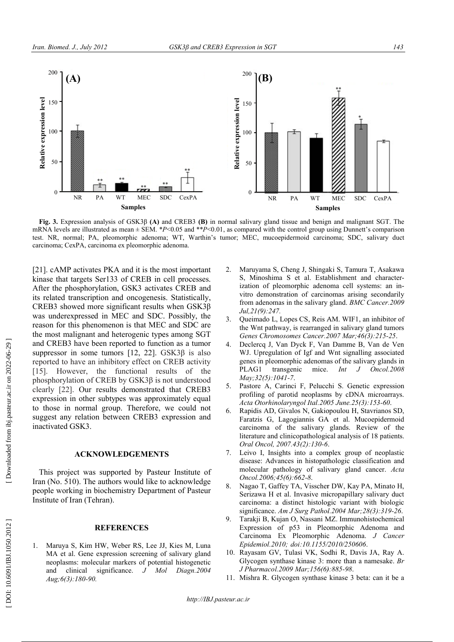

**Fig. 3 .** Expression analysis of GSK 3β **(A)** and CREB 3 **(B)** in normal salivary gland tissue and benign and malignant SGT. The **Fig. 3.** Expression analysis of GSK3 $\beta$  (A) and CREB3 (B) in normal salivary gland tissue and benign and malignant SGT. The mRNA levels are illustrated as mean  $\pm$  SEM. \**P*<0.05 and \*\**P*<0.01, as compared with the co test. NR, normal; PA, pleomorphic adenoma; WT, Warthin's tumor; MEC, mucoepidermoid carcinoma; SDC, salivary duct carcinoma; CexPA, carcinoma ex pleomorphic adenoma.

[21]. cAMP activates PKA and it is the most important kinase that targets Ser133 of CREB in cell processes. After the phosphorylation, GSK 3 activates CREB and After the phosphorylation, GSK3 activates CREB and its related transcription and oncogenesis. Statistically, CREB 3 showed more significant results when GSK 3 β was underexpressed in MEC and SDC. Possibly, the reason for this phenomenon is that MEC and SDC are the most malignant and heterogenic types among SGT and CREB 3 have been reported to function as a tumor and CREB3 have been reported to function as a tumor<br>suppressor in some tumors  $[12, 22]$ . GSK3 $\beta$  is also reported to have an inhibitory effect on CREB activity [15]. However, the functional results of the phosphorylation of CREB by  $GSK3\beta$  is not understood clearly [22]. Our results demonstrated that CREB3 phosphorylation of CREB by GSK 3β is not understood clearly [22 ]. Our results demonstrated that CREB expression in other subtypes was approximately equal to those in normal group. Therefore, we could not suggest any relation between CREB 3 expression and inactivated GSK 3 .

# **ACKNOWLEDGEMENTS**

This project was supported by Pasteur Institute of Iran (No. 510). The authors would like to acknowledge people working in biochemistry Department of Pasteur Institute of Iran (Tehran) . REB3 expre<br> **MENTS**<br>
y Pasteur I<br>
d like to ack<br>
Department

#### **REFERENCES**

1 . Maruya S, Kim HW, Weber RS, Lee JJ, Kies M, Luna MA et al. Gene expression screening of salivary gland neoplasms: molecular markers of potential histogenetic and clinical significance. *J Mol Aug; 6 (3):180 -90 . .2004*

- 2 . Maruyama S, Cheng J, Shingaki S, Tamura T, Asakawa Maruyama S, Cheng J, Shingaki S, Tamura T, Asakawa<br>S, Minoshima S et al. Establishment and characterization of pleomorphic adenoma cell systems: an invitro demonstration of carcinomas arising secondarily vitro demonstration from adenomas in the salivary gland. *BMC Cancer.2009 Jul,21 (9) :247 .*
- 3. . Queimado L, Lopes CS, Reis AM. WIF1, an inhibitor of the Wnt pathway, is rearranged in salivary gland tumors *Genes Chromosomes Cancer .2007 2007 Mar ;46 (3):215 -25* .
- 4 . Declercq J, Van Dyck F, Van Damme B, Van de Ven WJ. Upregulation of Igf and Wnt signalling associated genes in pleomorphic adenomas of the salivary glands in PLAG transgenic mice. *May;32 (5):1041 - 7* . F, Van Damme B, Van de Ven<br>ff and Wnt signalling associated<br>lenomas of the salivary glands in ic *Int J Oncol .2008*
- 5 . Pastore A, Carinci F, Pelucchi S. Genetic expression profiling of parotid neoplasms by cDNA microarrays. *Acta Otorhinolaryngol Ital .2005 2005 June .25 (3):153 -60* .
- 6 . Rapidis AD, Givalos N, Gakiopoulou H, Stavrianos SD, Rapidis AD, Givalos N, Gakiopoulou H, Stavrianos SD,<br>Faratzis G, Lagogiannis GA et al. Mucoepidermoid carcinoma of the salivary glands. Review of the literature and clinicopathological analysis of 18 patients. *Oral Oncol, 2007 .43 (2):130 - 6* .
- 7 . Leivo I, Insights into a complex group of neoplastic disease: Advances in histopathologic classification and literature and clinicopathological analysis of 18 patients.<br> *Oral Oncol*, 2007.43(2):130-6.<br>
Leivo I, Insights into a complex group of neoplastic<br>
disease: Advances in histopathologic classification and<br>
molecular patholo *Oncol .2006 ;45 (6):662 - 8* .
- 8 . Nagao T, Gaffey TA, Visscher DW, Kay PA, Minato H, Serizawa H et al. Invasive micropapillary salivary duct carcinoma: a distinct histologic variant with biologic significance. *Am J Surg Pathol .2004 Mar ;28 (3):319 -26* .
- 9. . Tarakji B, Kujan O, Nassani MZ. Immunohistochemical Expression of p53 in Pleomorphic Adenoma and Carcinoma Ex Pleomorphic Adenoma. Ex *J Cancer Epidemiol .2010 ; doi :10.1155/2010/250606 10.1155/2010/250606*.
- 10. Rayasam GV, Tulasi VK, Sodhi R, Davis JA, Ray A. Glycogen synthase kinase 3: more than a namesake. *Br* Glycogen synthase kinase 3: more than a namesake *J Pharmacol .2009 Mar ;156 (6): ):885 -98* .
- 11. Mishra R. Glycogen synthase kinase 3 beta: can it be a